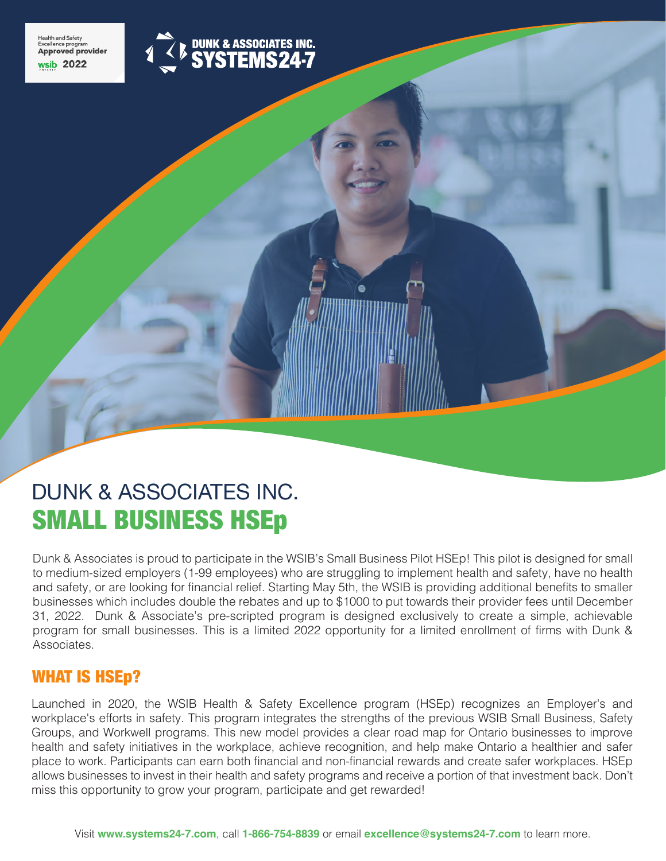



# SMALL BUSINESS HSEp DUNK & ASSOCIATES INC.

Dunk & Associates is proud to participate in the WSIB's Small Business Pilot HSEp! This pilot is designed for small to medium-sized employers (1-99 employees) who are struggling to implement health and safety, have no health and safety, or are looking for financial relief. Starting May 5th, the WSIB is providing additional benefits to smaller businesses which includes double the rebates and up to \$1000 to put towards their provider fees until December 31, 2022. Dunk & Associate's pre-scripted program is designed exclusively to create a simple, achievable program for small businesses. This is a limited 2022 opportunity for a limited enrollment of firms with Dunk & Associates.

# WHAT IS HSE<sub>p?</sub>

Launched in 2020, the WSIB Health & Safety Excellence program (HSEp) recognizes an Employer's and workplace's efforts in safety. This program integrates the strengths of the previous WSIB Small Business, Safety Groups, and Workwell programs. This new model provides a clear road map for Ontario businesses to improve health and safety initiatives in the workplace, achieve recognition, and help make Ontario a healthier and safer place to work. Participants can earn both financial and non-financial rewards and create safer workplaces. HSEp allows businesses to invest in their health and safety programs and receive a portion of that investment back. Don't miss this opportunity to grow your program, participate and get rewarded!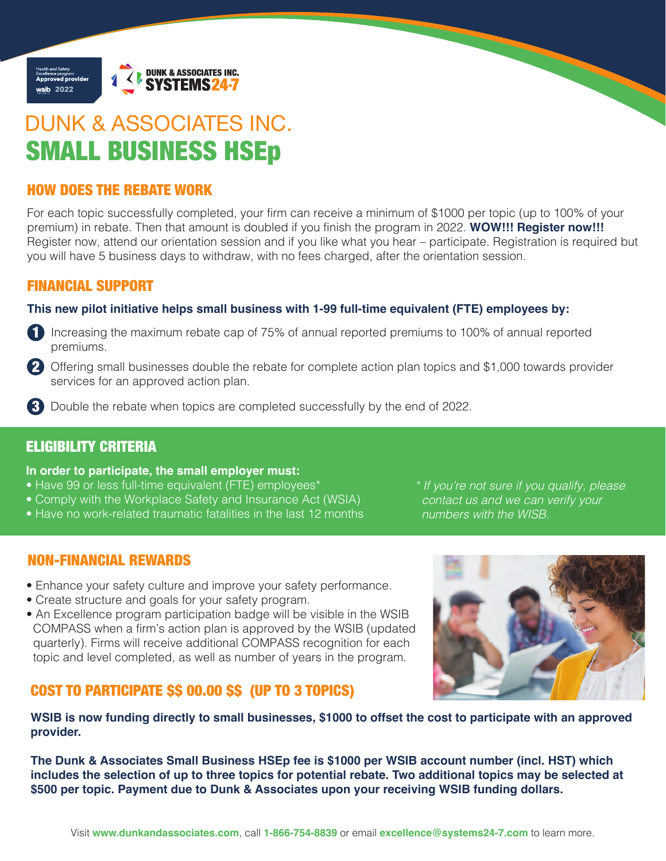

# SMALL BUSINESS HSEp DUNK & ASSOCIATES INC.

# HOW DOES THE REBATE WORK

For each topic successfully completed, your firm can receive a minimum of \$1000 per topic (up to 100% of your premium) in rebate. Then that amount is doubled if you finish the program in 2022. **WOW!!! Register now!!!** Register now, attend our orientation session and if you like what you hear – participate. Registration is required but you will have 5 business days to withdraw, with no fees charged, after the orientation session.

### FINANCIAL SUPPORT

### **This new pilot initiative helps small business with 1-99 full-time equivalent (FTE) employees by:**

1 Increasing the maximum rebate cap of 75% of annual reported premiums to 100% of annual reported premiums.

- 2 Offering small businesses double the rebate for complete action plan topics and \$1,000 towards provider services for an approved action plan.
- 3 Double the rebate when topics are completed successfully by the end of 2022.

# ELIGIBILITY CRITERIA

### **In order to participate, the small employer must:**

- Have 99 or less full-time equivalent (FTE) employees\*
- Comply with the Workplace Safety and Insurance Act (WSIA)
- Have no work-related traumatic fatalities in the last 12 months

*\* If you're not sure if you qualify, please contact us and we can verify your numbers with the WISB.*

# NON-FINANCIAL REWARDS

- Enhance your safety culture and improve your safety performance.
- Create structure and goals for your safety program.
- An Excellence program participation badge will be visible in the WSIB COMPASS when a firm's action plan is approved by the WSIB (updated quarterly). Firms will receive additional COMPASS recognition for each topic and level completed, as well as number of years in the program.

# COST TO PARTICIPATE \$\$ 00.00 \$\$ (UP TO 3 TOPICS)



**WSIB is now funding directly to small businesses, \$1000 to offset the cost to participate with an approved provider.** 

**The Dunk & Associates Small Business HSEp fee is \$1000 per WSIB account number (incl. HST) which includes the selection of up to three topics for potential rebate. Two additional topics may be selected at \$500 per topic. Payment due to Dunk & Associates upon your receiving WSIB funding dollars.**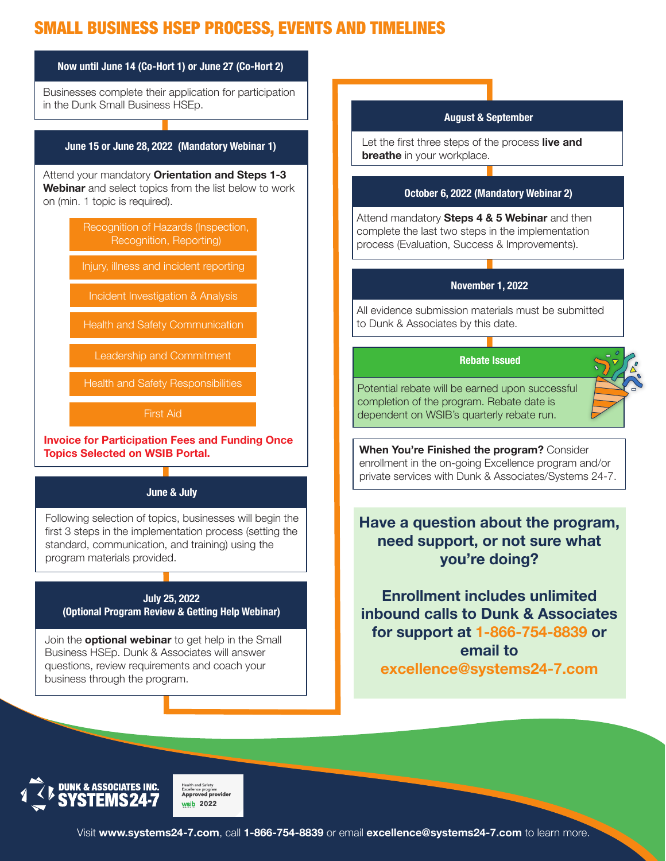# SMALL BUSINESS HSEP PROCESS, EVENTS AND TIMELINES



**IUNK & ASSOCIATES INC** 

<sub>Excellence program</sub><br>Approved provider  $sib$  2022

Visit **www.systems24-7.com**, call **1-866-754-8839** or email **excellence@systems24-7.com** to learn more.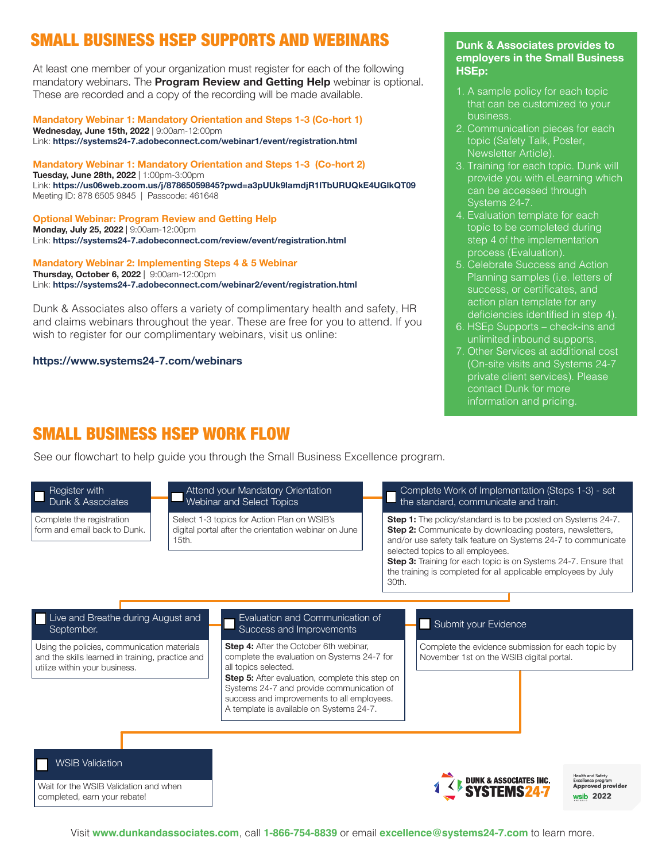# SMALL BUSINESS HSEP SUPPORTS AND WEBINARS

At least one member of your organization must register for each of the following mandatory webinars. The **Program Review and Getting Help** webinar is optional. These are recorded and a copy of the recording will be made available.

**Mandatory Webinar 1: Mandatory Orientation and Steps 1-3 (Co-hort 1) Wednesday, June 15th, 2022** | 9:00am-12:00pm Link: **https://systems24-7.adobeconnect.com/webinar1/event/registration.html**

**Mandatory Webinar 1: Mandatory Orientation and Steps 1-3 (Co-hort 2) Tuesday, June 28th, 2022** | 1:00pm-3:00pm Link: **https://us06web.zoom.us/j/87865059845?pwd=a3pUUk9lamdjR1lTbURUQkE4UGlkQT09**  Meeting ID: 878 6505 9845 | Passcode: 461648

**Optional Webinar: Program Review and Getting Help Monday, July 25, 2022** | 9:00am-12:00pm Link: **https://systems24-7.adobeconnect.com/review/event/registration.html**

**Mandatory Webinar 2: Implementing Steps 4 & 5 Webinar Thursday, October 6, 2022** | 9:00am-12:00pm Link: **https://systems24-7.adobeconnect.com/webinar2/event/registration.html**

Dunk & Associates also offers a variety of complimentary health and safety, HR and claims webinars throughout the year. These are free for you to attend. If you wish to register for our complimentary webinars, visit us online:

**https://www.systems24-7.com/webinars**

#### **Dunk & Associates provides to employers in the Small Business HSEp:**

- 1. A sample policy for each topic that can be customized to your business.
- 2. Communication pieces for each topic (Safety Talk, Poster, Newsletter Article).
- 3. Training for each topic. Dunk will provide you with eLearning which can be accessed through Systems 24-7.
- 4. Evaluation template for each topic to be completed during step 4 of the implementation process (Evaluation).
- 5. Celebrate Success and Action Planning samples (i.e. letters of success, or certificates, and action plan template for any deficiencies identified in step 4).
- 6. HSEp Supports check-ins and unlimited inbound supports.
- 7. Other Services at additional cost (On-site visits and Systems 24-7 private client services). Please contact Dunk for more information and pricing.

# SMALL BUSINESS HSEP WORK FLOW

See our flowchart to help guide you through the Small Business Excellence program.

#### Register with Dunk & Associates

Complete the registration form and email back to Dunk.

#### Attend your Mandatory Orientation Webinar and Select Topics

Select 1-3 topics for Action Plan on WSIB's digital portal after the orientation webinar on June 15th.

#### Complete Work of Implementation (Steps 1-3) - set the standard, communicate and train.

**Step 1:** The policy/standard is to be posted on Systems 24-7. **Step 2:** Communicate by downloading posters, newsletters, and/or use safety talk feature on Systems 24-7 to communicate selected topics to all employees.

**Step 3:** Training for each topic is on Systems 24-7. Ensure that the training is completed for all applicable employees by July 30th.

#### Live and Breathe during August and **Live and Evidence Live and Submit your Evidence**<br>Submit your Evidence Live and Breather Success and Improvements September.

Using the policies, communication materials and the skills learned in training, practice and utilize within your business.

# Evaluation and Communication of

**Step 4:** After the October 6th webinar, complete the evaluation on Systems 24-7 for all topics selected.

**Step 5:** After evaluation, complete this step on Systems 24-7 and provide communication of success and improvements to all employees. A template is available on Systems 24-7.

Complete the evidence submission for each topic by November 1st on the WSIB digital portal.



Wait for the WSIB Validation and when completed, earn your rebate!



alth and Safety **Excellence program**<br>**Approved provider** wsib 2022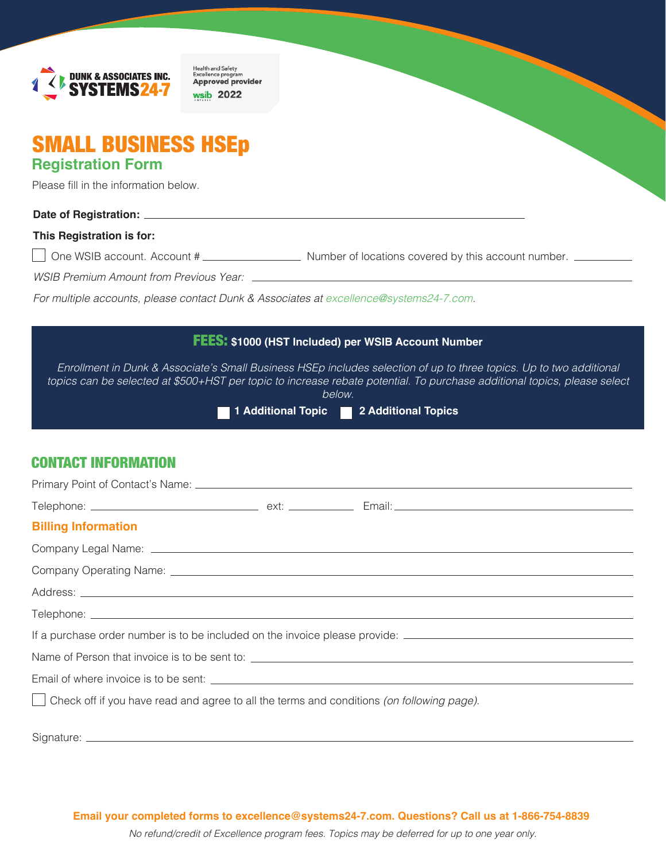

Health and Safety<br>Excellence program<br>**Approved provider** wsib 2022

# SMALL BUSINESS HSEp **Registration Form**

Please fill in the information below.

#### **Date of Registration:**

#### **This Registration is for:**

One WSIB account. Account # Number of locations covered by this account number.

*WSIB Premium Amount from Previous Year:* 

*For multiple accounts, please contact Dunk & Associates at excellence@systems24-7.com.*

# FEES: **\$1000 (HST Included) per WSIB Account Number** *Enrollment in Dunk & Associate's Small Business HSEp includes selection of up to three topics. Up to two additional topics can be selected at \$500+HST per topic to increase rebate potential. To purchase additional topics, please select below.* **1 Additional Topic 2 Additional Topics**

# CONTACT INFORMATION

| <b>Billing Information</b>                                                                                     |
|----------------------------------------------------------------------------------------------------------------|
|                                                                                                                |
|                                                                                                                |
|                                                                                                                |
|                                                                                                                |
| If a purchase order number is to be included on the invoice please provide: __________________________________ |
|                                                                                                                |
|                                                                                                                |
| $\vert$ Check off if you have read and agree to all the terms and conditions (on following page).              |

Signature: